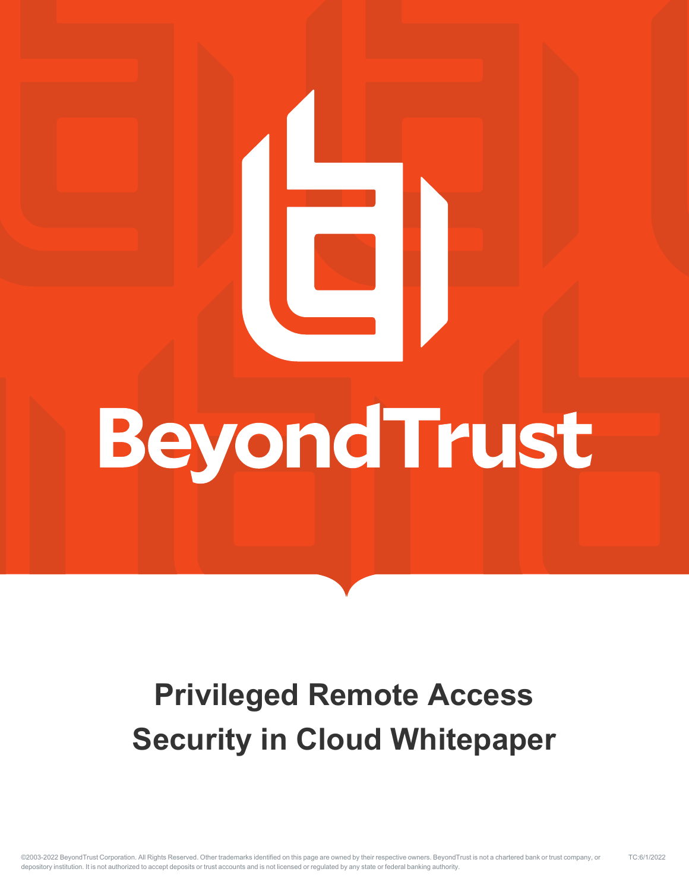# BeyondTrust

# **Privileged Remote Access Security in Cloud Whitepaper**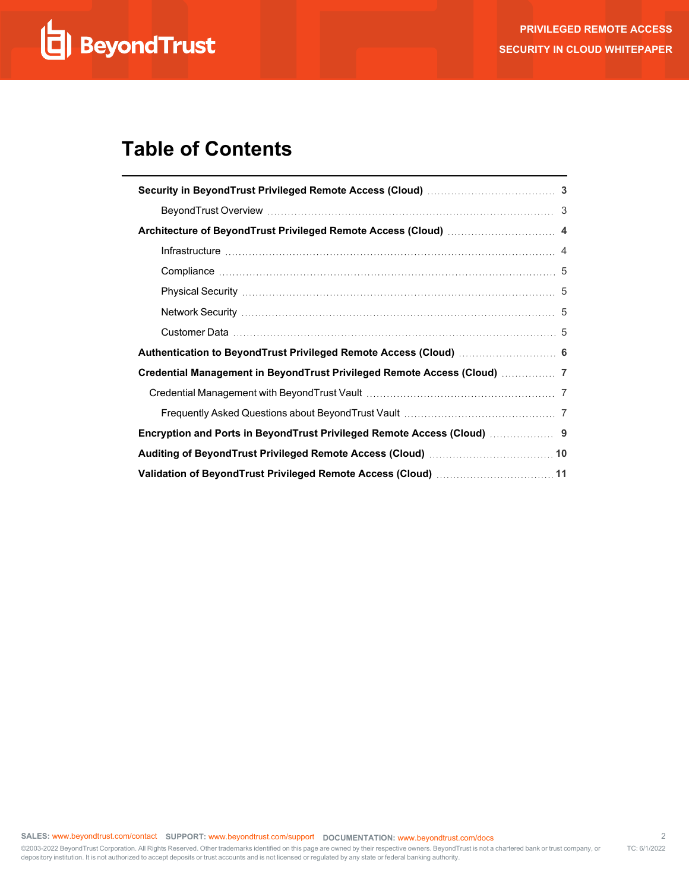# **Table of Contents**

| Credential Management in BeyondTrust Privileged Remote Access (Cloud)  7 |
|--------------------------------------------------------------------------|
|                                                                          |
|                                                                          |
|                                                                          |
|                                                                          |
| Validation of BeyondTrust Privileged Remote Access (Cloud)  11           |

<sup>©2003-2022</sup> BeyondTrust Corporation. All Rights Reserved. Other trademarks identified on this page are owned by their respective owners. BeyondTrust is not a chartered bank or trust company, or depository institution. It is not authorized to accept deposits or trust accounts and is not licensed or regulated by any state or federal banking authority. TC: 6/1/2022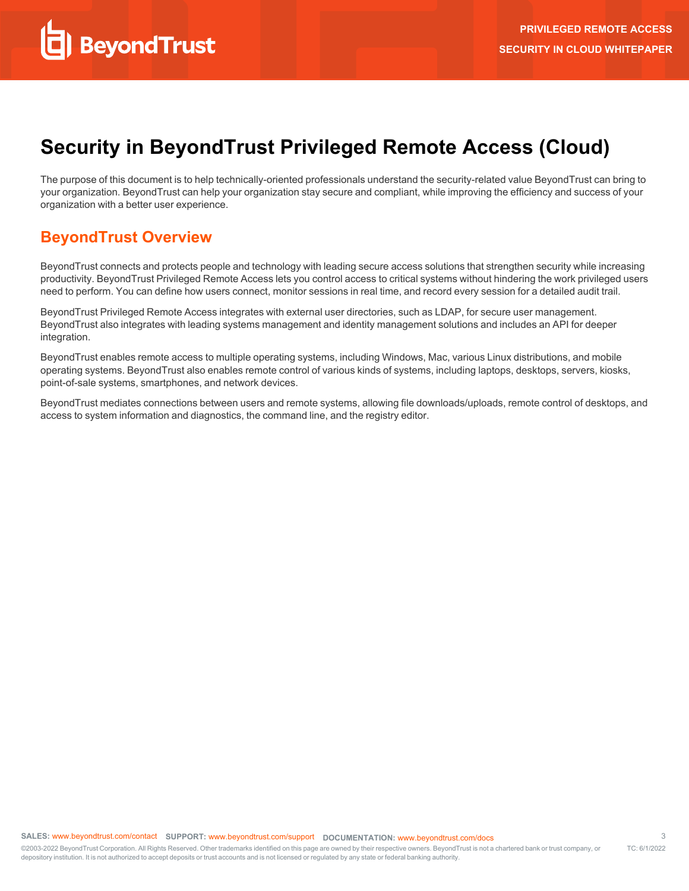# <span id="page-2-0"></span>**Security in BeyondTrust Privileged Remote Access (Cloud)**

The purpose of this document is to help technically-oriented professionals understand the security-related value BeyondTrust can bring to your organization. BeyondTrust can help your organization stay secure and compliant, while improving the efficiency and success of your organization with a better user experience.

#### <span id="page-2-1"></span>**BeyondTrust Overview**

BeyondTrust connects and protects people and technology with leading secure access solutions that strengthen security while increasing productivity. BeyondTrust Privileged Remote Access lets you control access to critical systems without hindering the work privileged users need to perform. You can define how users connect, monitor sessions in real time, and record every session for a detailed audit trail.

BeyondTrust Privileged Remote Access integrates with external user directories, such as LDAP, for secure user management. BeyondTrust also integrates with leading systems management and identity management solutions and includes an API for deeper integration.

BeyondTrust enables remote access to multiple operating systems, including Windows, Mac, various Linux distributions, and mobile operating systems. BeyondTrust also enables remote control of various kinds of systems, including laptops, desktops, servers, kiosks, point-of-sale systems, smartphones, and network devices.

BeyondTrust mediates connections between users and remote systems, allowing file downloads/uploads, remote control of desktops, and access to system information and diagnostics, the command line, and the registry editor.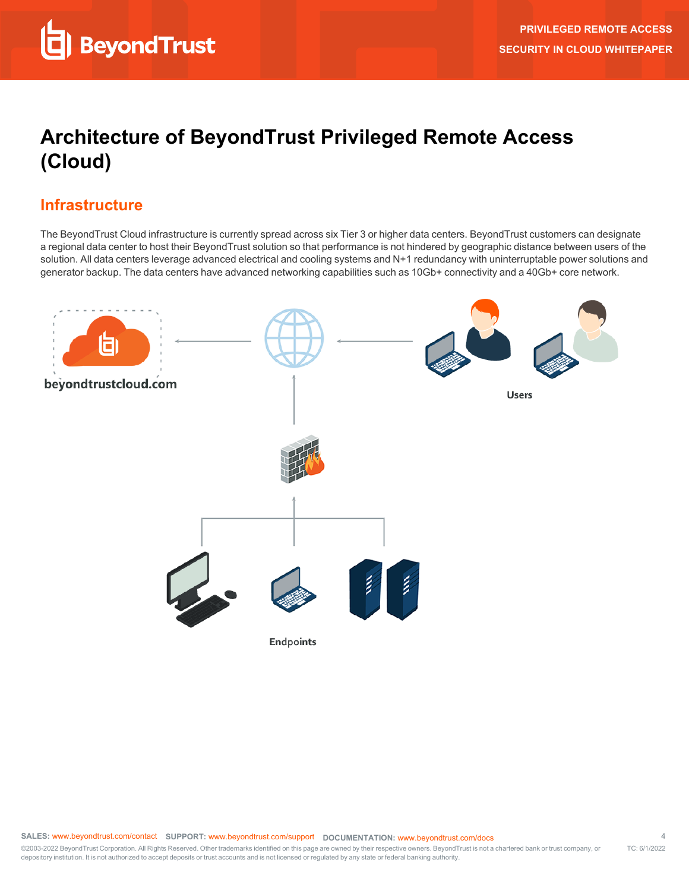# <span id="page-3-0"></span>**Architecture of BeyondTrust Privileged Remote Access (Cloud)**

## <span id="page-3-1"></span>**Infrastructure**

The BeyondTrust Cloud infrastructure is currently spread across six Tier 3 or higher data centers. BeyondTrust customers can designate a regional data center to host their BeyondTrust solution so that performance is not hindered by geographic distance between users of the solution. All data centers leverage advanced electrical and cooling systems and N+1 redundancy with uninterruptable power solutions and generator backup. The data centers have advanced networking capabilities such as 10Gb+ connectivity and a 40Gb+ core network.

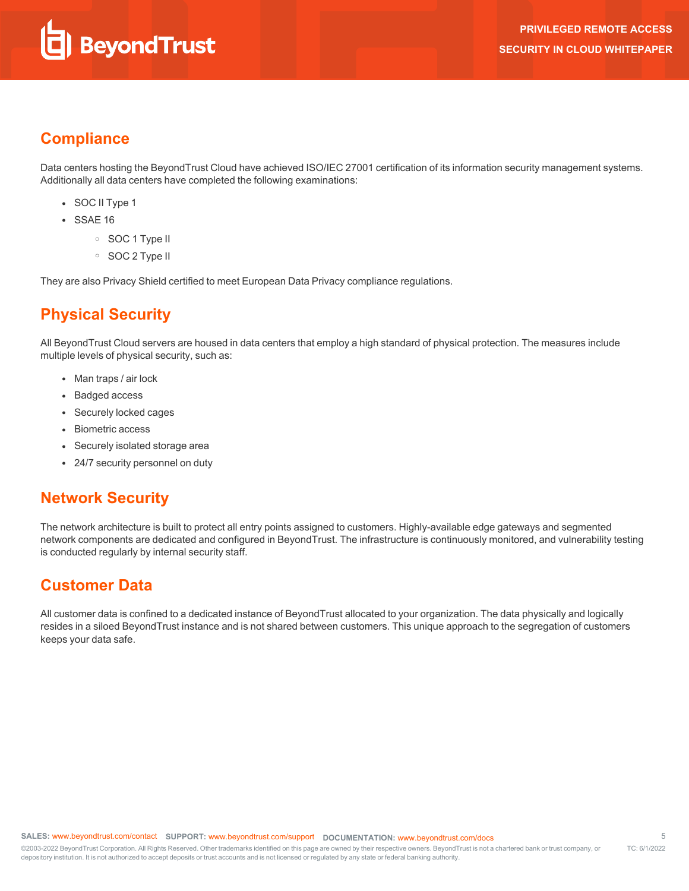## <span id="page-4-0"></span>**Compliance**

Data centers hosting the BeyondTrust Cloud have achieved ISO/IEC 27001 certification of its information security management systems. Additionally all data centers have completed the following examinations:

- SOC II Type 1
- $\cdot$  SSAE 16
	- o SOC 1 Type II
	- o SOC 2 Type II

<span id="page-4-1"></span>They are also Privacy Shield certified to meet European Data Privacy compliance regulations.

# **Physical Security**

All BeyondTrust Cloud servers are housed in data centers that employ a high standard of physical protection. The measures include multiple levels of physical security, such as:

- Man traps / air lock
- Badged access
- Securely locked cages
- Biometric access
- Securely isolated storage area
- 24/7 security personnel on duty

#### <span id="page-4-2"></span>**Network Security**

The network architecture is built to protect all entry points assigned to customers. Highly-available edge gateways and segmented network components are dedicated and configured in BeyondTrust. The infrastructure is continuously monitored, and vulnerability testing is conducted regularly by internal security staff.

#### <span id="page-4-3"></span>**Customer Data**

All customer data is confined to a dedicated instance of BeyondTrust allocated to your organization. The data physically and logically resides in a siloed BeyondTrust instance and is not shared between customers. This unique approach to the segregation of customers keeps your data safe.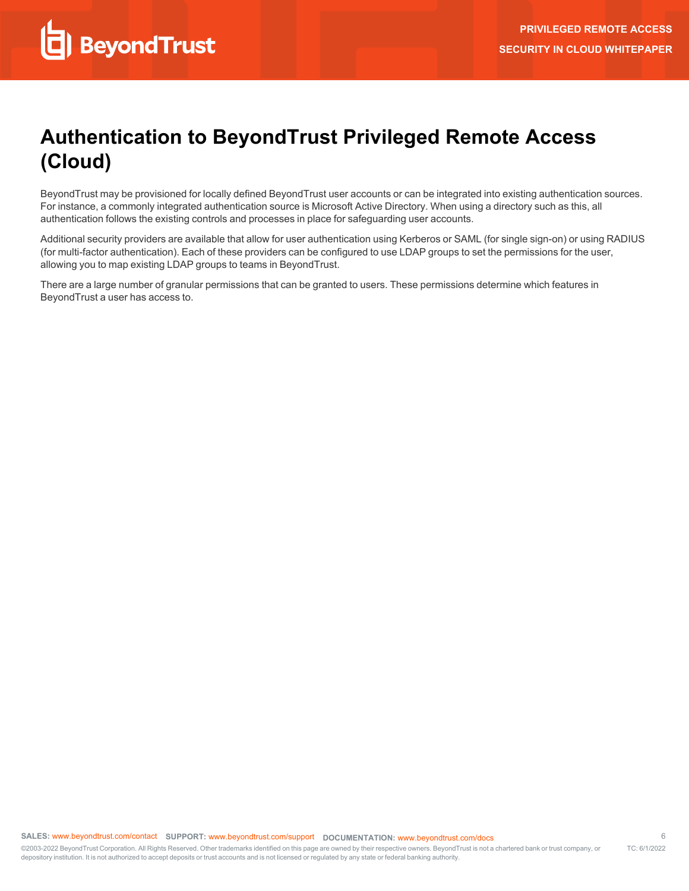# <span id="page-5-0"></span>**Authentication to BeyondTrust Privileged Remote Access (Cloud)**

BeyondTrust may be provisioned for locally defined BeyondTrust user accounts or can be integrated into existing authentication sources. For instance, a commonly integrated authentication source is Microsoft Active Directory. When using a directory such as this, all authentication follows the existing controls and processes in place for safeguarding user accounts.

Additional security providers are available that allow for user authentication using Kerberos or SAML (for single sign-on) or using RADIUS (for multi-factor authentication). Each of these providers can be configured to use LDAP groups to set the permissions for the user, allowing you to map existing LDAP groups to teams in BeyondTrust.

There are a large number of granular permissions that can be granted to users. These permissions determine which features in BeyondTrust a user has access to.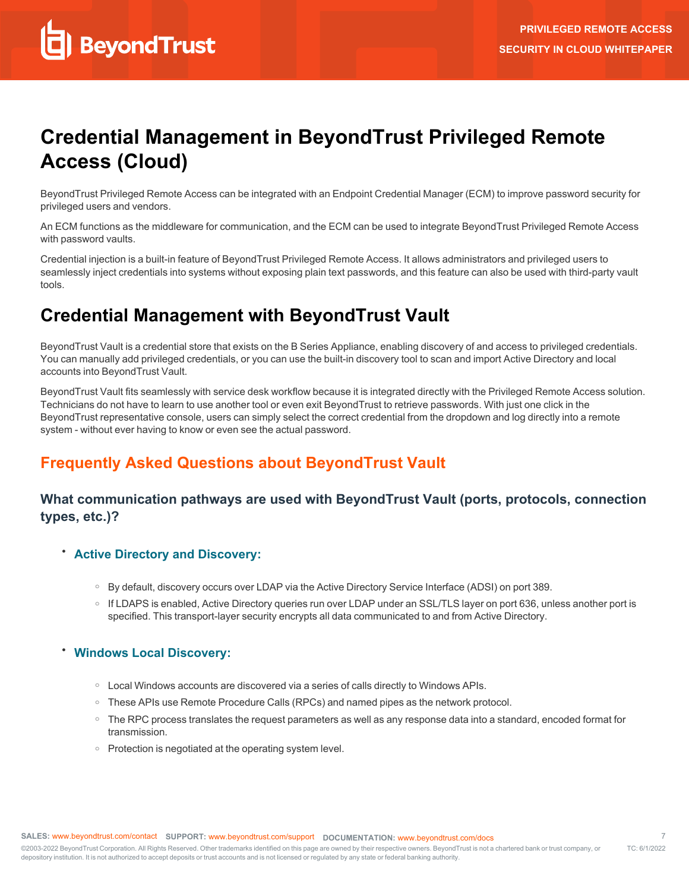# <span id="page-6-0"></span>**Credential Management in BeyondTrust Privileged Remote Access (Cloud)**

BeyondTrust Privileged Remote Access can be integrated with an Endpoint Credential Manager (ECM) to improve password security for privileged users and vendors.

An ECM functions as the middleware for communication, and the ECM can be used to integrate BeyondTrust Privileged Remote Access with password vaults.

Credential injection is a built-in feature of BeyondTrust Privileged Remote Access. It allows administrators and privileged users to seamlessly inject credentials into systems without exposing plain text passwords, and this feature can also be used with third-party vault tools.

# <span id="page-6-1"></span>**Credential Management with BeyondTrust Vault**

BeyondTrust Vault is a credential store that exists on the B Series Appliance, enabling discovery of and access to privileged credentials. You can manually add privileged credentials, or you can use the built-in discovery tool to scan and import Active Directory and local accounts into BeyondTrust Vault.

BeyondTrust Vault fits seamlessly with service desk workflow because it is integrated directly with the Privileged Remote Access solution. Technicians do not have to learn to use another tool or even exit BeyondTrust to retrieve passwords. With just one click in the BeyondTrust representative console, users can simply select the correct credential from the dropdown and log directly into a remote system - without ever having to know or even see the actual password.

# <span id="page-6-2"></span>**Frequently Asked Questions about BeyondTrust Vault**

#### **What communication pathways are used with BeyondTrust Vault (ports, protocols, connection types, etc.)?**

- <sup>l</sup> **Active Directory and Discovery:**
	- o By default, discovery occurs over LDAP via the Active Directory Service Interface (ADSI) on port 389.
	- o If LDAPS is enabled, Active Directory queries run over LDAP under an SSL/TLS layer on port 636, unless another port is specified. This transport-layer security encrypts all data communicated to and from Active Directory.

#### <sup>l</sup> **Windows Local Discovery:**

- Local Windows accounts are discovered via a series of calls directly to Windows APIs.
- o These APIs use Remote Procedure Calls (RPCs) and named pipes as the network protocol.
- o The RPC process translates the request parameters as well as any response data into a standard, encoded format for transmission.
- o Protection is negotiated at the operating system level.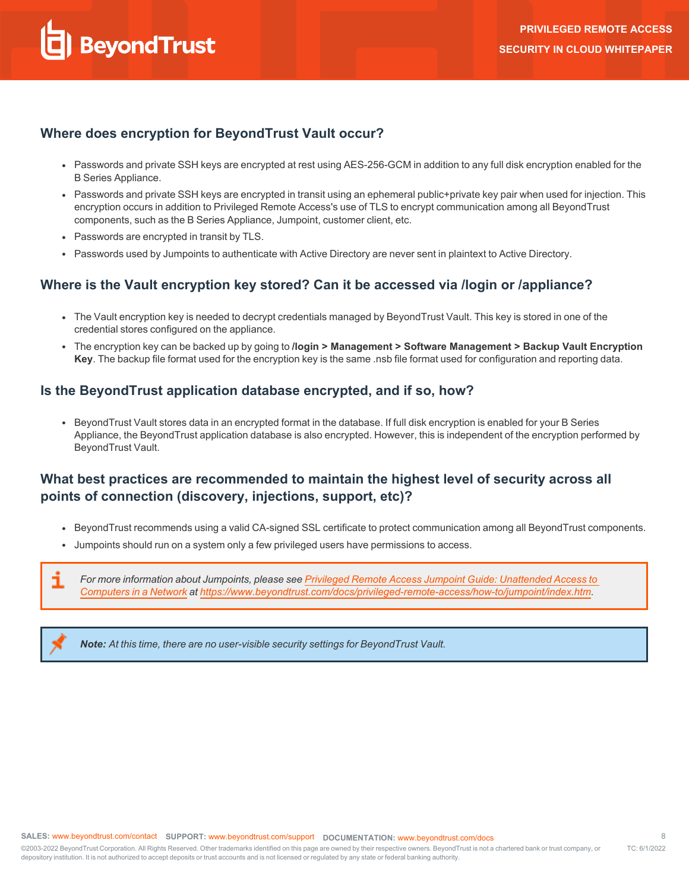#### **Where does encryption for BeyondTrust Vault occur?**

- Passwords and private SSH keys are encrypted at rest using AES-256-GCM in addition to any full disk encryption enabled for the B Series Appliance.
- Passwords and private SSH keys are encrypted in transit using an ephemeral public+private key pair when used for injection. This encryption occurs in addition to Privileged Remote Access's use of TLS to encrypt communication among all BeyondTrust components, such as the B Series Appliance, Jumpoint, customer client, etc.
- Passwords are encrypted in transit by TLS.
- Passwords used by Jumpoints to authenticate with Active Directory are never sent in plaintext to Active Directory.

#### **Where is the Vault encryption key stored? Can it be accessed via /login or /appliance?**

- The Vault encryption key is needed to decrypt credentials managed by BeyondTrust Vault. This key is stored in one of the credential stores configured on the appliance.
- <sup>l</sup> The encryption key can be backed up by going to **/login > Management > Software Management > Backup Vault Encryption Key**. The backup file format used for the encryption key is the same .nsb file format used for configuration and reporting data.

#### **Is the BeyondTrust application database encrypted, and if so, how?**

• BeyondTrust Vault stores data in an encrypted format in the database. If full disk encryption is enabled for your B Series Appliance, the BeyondTrust application database is also encrypted. However, this is independent of the encryption performed by BeyondTrust Vault.

#### **What best practices are recommended to maintain the highest level of security across all points of connection (discovery, injections, support, etc)?**

- BeyondTrust recommends using a valid CA-signed SSL certificate to protect communication among all BeyondTrust components.
- Jumpoints should run on a system only a few privileged users have permissions to access.

*For more information about Jumpoints, please see Privileged Remote Access Jumpoint Guide: [Unattended](https://www.beyondtrust.com/docs/privileged-remote-access/how-to/jumpoint/index.htm) Access to* 1 *[Computers](https://www.beyondtrust.com/docs/privileged-remote-access/how-to/jumpoint/index.htm) in a Network at <https://www.beyondtrust.com/docs/privileged-remote-access/how-to/jumpoint/index.htm>.*

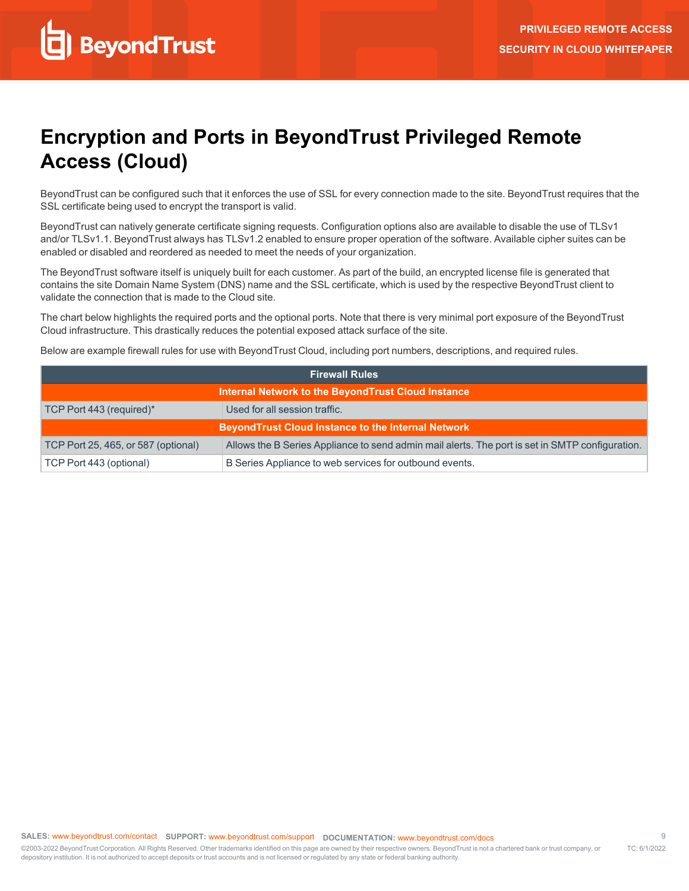# <span id="page-8-0"></span>**Encryption and Ports in BeyondTrust Privileged Remote Access (Cloud)**

BeyondTrust can be configured such that it enforces the use of SSL for every connection made to the site. BeyondTrust requires that the SSL certificate being used to encrypt the transport is valid.

BeyondTrust can natively generate certificate signing requests. Configuration options also are available to disable the use of TLSv1 and/or TLSv1.1. BeyondTrust always has TLSv1.2 enabled to ensure proper operation of the software. Available cipher suites can be enabled or disabled and reordered as needed to meet the needs of your organization.

The BeyondTrust software itself is uniquely built for each customer. As part of the build, an encrypted license file is generated that contains the site Domain Name System (DNS) name and the SSL certificate, which is used by the respective BeyondTrust client to validate the connection that is made to the Cloud site.

The chart below highlights the required ports and the optional ports. Note that there is very minimal port exposure of the BeyondTrust Cloud infrastructure. This drastically reduces the potential exposed attack surface of the site.

Below are example firewall rules for use with BeyondTrust Cloud, including port numbers, descriptions, and required rules.

| <b>Firewall Rules</b>                                     |                                                                                                 |  |
|-----------------------------------------------------------|-------------------------------------------------------------------------------------------------|--|
| Internal Network to the BeyondTrust Cloud Instance        |                                                                                                 |  |
| TCP Port 443 (required)*                                  | Used for all session traffic.                                                                   |  |
| <b>BeyondTrust Cloud Instance to the Internal Network</b> |                                                                                                 |  |
| TCP Port 25, 465, or 587 (optional)                       | Allows the B Series Appliance to send admin mail alerts. The port is set in SMTP configuration. |  |
| TCP Port 443 (optional)                                   | B Series Appliance to web services for outbound events.                                         |  |

<sup>©2003-2022</sup> BeyondTrust Corporation. All Rights Reserved. Other trademarks identified on this page are owned by their respective owners. BeyondTrust is not a chartered bank or trust company, or depository institution. It is not authorized to accept deposits or trust accounts and is not licensed or regulated by any state or federal banking authority. TC: 6/1/2022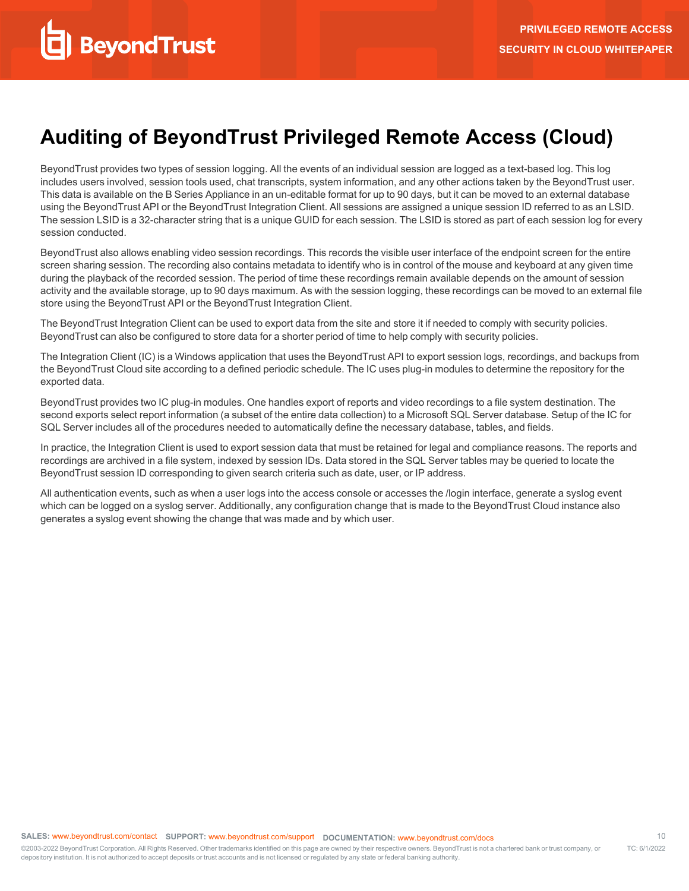# <span id="page-9-0"></span>**Auditing of BeyondTrust Privileged Remote Access (Cloud)**

BeyondTrust provides two types of session logging. All the events of an individual session are logged as a text-based log. This log includes users involved, session tools used, chat transcripts, system information, and any other actions taken by the BeyondTrust user. This data is available on the B Series Appliance in an un-editable format for up to 90 days, but it can be moved to an external database using the BeyondTrust API or the BeyondTrust Integration Client. All sessions are assigned a unique session ID referred to as an LSID. The session LSID is a 32-character string that is a unique GUID for each session. The LSID is stored as part of each session log for every session conducted.

BeyondTrust also allows enabling video session recordings. This records the visible user interface of the endpoint screen for the entire screen sharing session. The recording also contains metadata to identify who is in control of the mouse and keyboard at any given time during the playback of the recorded session. The period of time these recordings remain available depends on the amount of session activity and the available storage, up to 90 days maximum. As with the session logging, these recordings can be moved to an external file store using the BeyondTrust API or the BeyondTrust Integration Client.

The BeyondTrust Integration Client can be used to export data from the site and store it if needed to comply with security policies. BeyondTrust can also be configured to store data for a shorter period of time to help comply with security policies.

The Integration Client (IC) is a Windows application that uses the BeyondTrust API to export session logs, recordings, and backups from the BeyondTrust Cloud site according to a defined periodic schedule. The IC uses plug-in modules to determine the repository for the exported data.

BeyondTrust provides two IC plug-in modules. One handles export of reports and video recordings to a file system destination. The second exports select report information (a subset of the entire data collection) to a Microsoft SQL Server database. Setup of the IC for SQL Server includes all of the procedures needed to automatically define the necessary database, tables, and fields.

In practice, the Integration Client is used to export session data that must be retained for legal and compliance reasons. The reports and recordings are archived in a file system, indexed by session IDs. Data stored in the SQL Server tables may be queried to locate the BeyondTrust session ID corresponding to given search criteria such as date, user, or IP address.

All authentication events, such as when a user logs into the access console or accesses the /login interface, generate a syslog event which can be logged on a syslog server. Additionally, any configuration change that is made to the BeyondTrust Cloud instance also generates a syslog event showing the change that was made and by which user.

depository institution. It is not authorized to accept deposits or trust accounts and is not licensed or regulated by any state or federal banking authority.

©2003-2022 BeyondTrust Corporation. All Rights Reserved. Other trademarks identified on this page are owned by their respective owners. BeyondTrust is not a chartered bank or trust company, or